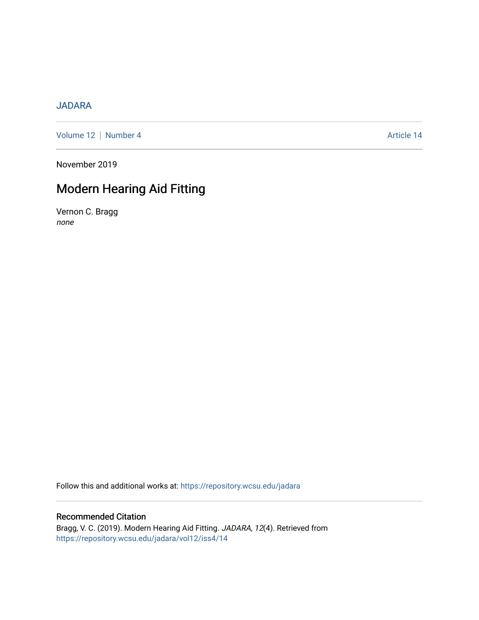## [JADARA](https://repository.wcsu.edu/jadara)

[Volume 12](https://repository.wcsu.edu/jadara/vol12) | [Number 4](https://repository.wcsu.edu/jadara/vol12/iss4) Article 14

November 2019

# Modern Hearing Aid Fitting

Vernon C. Bragg none

Follow this and additional works at: [https://repository.wcsu.edu/jadara](https://repository.wcsu.edu/jadara?utm_source=repository.wcsu.edu%2Fjadara%2Fvol12%2Fiss4%2F14&utm_medium=PDF&utm_campaign=PDFCoverPages)

## Recommended Citation

Bragg, V. C. (2019). Modern Hearing Aid Fitting. JADARA, 12(4). Retrieved from [https://repository.wcsu.edu/jadara/vol12/iss4/14](https://repository.wcsu.edu/jadara/vol12/iss4/14?utm_source=repository.wcsu.edu%2Fjadara%2Fvol12%2Fiss4%2F14&utm_medium=PDF&utm_campaign=PDFCoverPages)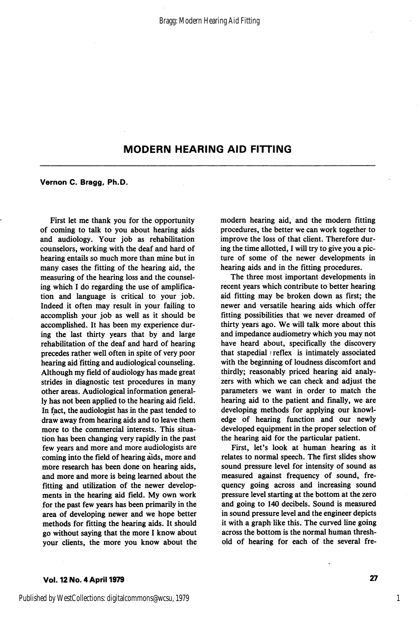Vernon C. Bragg, Ph.D.

First let me thank you for the opportunity of coming to talk to you about hearing aids and audiology. Your job as rehabilitation counselors, working with the deaf and hard of hearing entails so much more than mine but in many cases the fitting of the hearing aid, the measuring of the hearing loss and the counsel ing which I do regarding the use of amplifica tion and language is critical to your job. Indeed it often may result in your failing to accomplish your job as well as it should be accomplished. It has been my experience dur ing the last thirty years that by and large rehabilitation of the deaf and hard of hearing precedes rather well often in spite of very poor hearing aid fitting and audiological counseling. Although my field of audiology has made great strides in diagnostic test procedures in many other areas. Audiological information general ly has not been applied to the hearing aid field. In fact, the audiologist has in the past tended to draw away from hearing aids and to leave them more to the commercial interests. This situa tion has been changing very rapidly in the past few years and more and more audiologists are coming into the field of hearing aids, more and more research has been done on hearing aids, and more and more is being learned about the fitting and utilization of the newer develop ments in the hearing aid field. My own work for the past few years has been primarily in the area of developing newer and we hope better methods for fitting the hearing aids. It should go without saying that the more I know about your clients, the more you know about the modern hearing aid, and the modern fitting procedures, the better we can work together to improve the loss of that client. Therefore dur ing the time allotted, I will try to give you a pic ture of some of the newer developments in hearing aids and in the fitting procedures.

The three most important developments in recent years which contribute to better hearing aid fitting may be broken down as first; the newer and versatile hearing aids which offer fitting possibilities that we never dreamed of thirty years ago. We will talk more about this and impedance audiometry which you may not have heard about, specifically the discovery that stapedial ) reflex is intimately associated with the beginning of loudness discomfort and thirdly; reasonably priced hearing aid analy zers with which we can check and adjust the parameters we want in order to match the hearing aid to the patient and finally, we are developing methods for applying our knowl edge of hearing function and our newly developed equipment in the proper selection of the hearing aid for the particular patient.

First, let's look at human hearing as it relates to normal speech. The first slides show sound pressure level for intensity of sound as measured against frequency of sound, fre quency going across and increasing sound pressure level starting at the bottom at the zero and going to 140 decibels. Sound is measured in sound pressure level and the engineer depicts it with a graph like this. The curved line going across the bottom is the normal human thresh old of hearing for each of the several fre-

### Vol. 12 No. 4 April 1979 27

1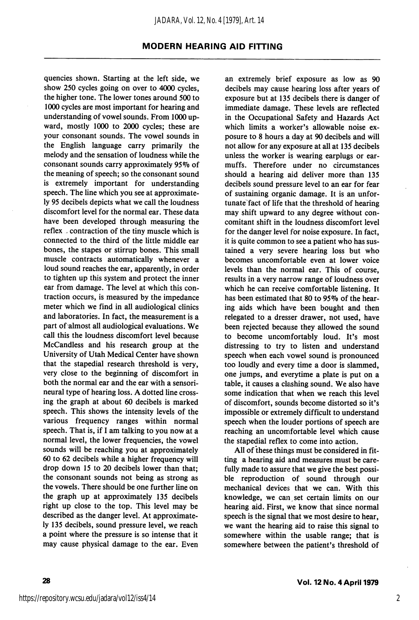quencies shown. Starting at the left side, we show 250 cycles going on over to 4000 cycles, the higher tone. The lower tones around 500 to 1000 cycles are most important for hearing and understanding of vowel sounds. From 1000 up ward, mostly 1000 to 2000 cycles; these are your consonant sounds. The vowel sounds in the English language carry primarily the melody and the sensation of loudness while the consonant sounds carry approximately 95% of the meaning of speech; so the consonant sound is extremely important for understanding speech. The line which you see at approximate ly 95 decibels depicts what we call the loudness discomfort level for the normal ear. These data have been developed through measuring the reflex , contraction of the tiny muscle which is connected to the third of the little middle ear bones, the stapes or stirrup bones. This small muscle contracts automatically whenever a loud sound reaches the ear, apparently, in order to tighten up this system and protect the inner ear from damage. The level at which this con traction occurs, is measured by the impedance meter which we find in all audiological clinics and laboratories. In fact, the measurement is a part of almost all audiological evaluations. We call this the loudness discomfort level because McCandless and his research group at the University of Utah Medical Center have shown that the stapedial research threshold is very, very close to the beginning of discomfort in both the normal ear and the ear with a sensorineural type of hearing loss. A dotted line cross ing the graph at about 60 decibels is marked speech. This shows the intensity levels of the various frequency ranges within normal speech. That is, if I am talking to you now at a normal level, the lower frequencies, the vowel sounds will be reaching you at approximately 60 to 62 decibels while a higher frequency will drop down 15 to 20 decibels lower than that; the consonant sounds not being as strong as the vowels. There should be one further line on the graph up at approximately 135 decibels right up close to the top. This level may be described as the danger level. At approximate ly 135 decibels, sound pressure level, we reach a point where the pressure is so intense that it may cause physical damage to the ear. Even

an extremely brief exposure as low as 90 decibels may cause hearing loss after years of exposure but at 135 decibels there is danger of immediate damage. These levels are reflected in the Occupational Safety and Hazards Act which limits a worker's allowable noise exposure to 8 hours a day at 90 decibels and will not allow for any exposure at all at 135 decibels unless the worker is wearing earplugs or earmuffs. Therefore under no circumstances should a hearing aid deliver more than 135 decibels sound pressure level to an ear for fear of sustaining organic damage. It is an unfor tunate fact of life that the threshold of hearing may shift upward to any degree without con comitant shift in the loudness discomfort level for the danger level for noise exposure. In fact, it is quite common to see a patient who has sus tained a very severe hearing loss but who becomes uncomfortable even at lower voice levels than the normal ear. This of course, results in a very narrow range of loudness over which he can receive comfortable listening. It has been estimated that 80 to 95% of the hearing aids which have been bought and then relegated to a dresser drawer, not used, have been rejected because they allowed the sound to become uncomfortably loud. It's most distressing to try to listen and understand speech when each vowel sound is pronounced too loudly and every time a door is slammed, one jumps, and everytime a plate is put on a table, it causes a clashing sound. We also have some indication that when we reach this level of discomfort, sounds become distorted so it's impossible or extremely difficult to understand speech when the louder portions of speech are reaching an uncomfortable level which cause the stapedial reflex to come into action.

All of these things must be considered in fit ting a hearing aid and measures must be care fully made to assure that we give the best possible reproduction of sound through our mechanical devices that we can. With this knowledge, we can set certain limits on our hearing aid. First, we know that since normal speech is the signal that we most desire to hear, we want the hearing aid to raise this signal to somewhere within the usable range; that is somewhere between the patient's threshold of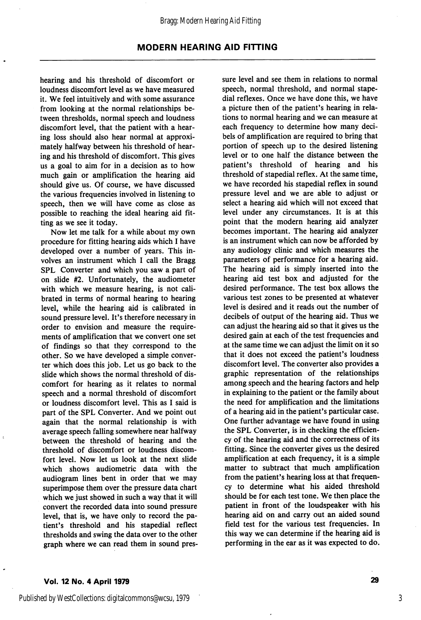hearing and his threshold of discomfort or loudness discomfort level as we have measured it. We feel intuitively and with some assurance from looking at the normal relationships be tween thresholds, normal speech and loudness discomfort level, that the patient with a hear ing loss should also hear normal at approxi mately halfway between his threshold of hear ing and his threshold of discomfort. This gives us a goal to aim for in a decision as to how much gain or amplification the hearing aid should give us. Of course, we have discussed the various frequencies involved in listening to speech, then we will have come as close as possible to reaching the ideal hearing aid fit ting as we see it today.

Now let me talk for a while about my own procedure for fitting hearing aids which I have developed over a number of years. This in volves an instrument which I call the Bragg SPL Converter and which you saw a part of on slide #2. Unfortunately, the audiometer with which we measure hearing, is not cali brated in terms of normal hearing to hearing level, while the hearing aid is calibrated in sound pressure level. It's therefore necessary in order to envision and measure the require ments of amplification that we convert one set of findings so that they correspond to the other. So we have developed a simple conver ter which does this job. Let us go back to the slide which shows the normal threshold of dis comfort for hearing as it relates to normal speech and a normal threshold of discomfort or loudness discomfort level. This as I said is part of the SPL Converter. And we point out again that the normal relationship is with average speech falling somewhere near halfway between the threshold of hearing and the threshold of discomfort or loudness discom fort level. Now let us look at the next slide which shows audiometric data with the audiogram lines bent in order that we may superimpose them over the pressure data chart which we just showed in such a way that it will convert the recorded data into sound pressure level, that is, we have only to record the pa tient's threshold and his stapedial reflect thresholds and swing the data over to the other graph where we can read them in sound pres sure level and see them in relations to normal speech, normal threshold, and normal stape dial reflexes. Once we have done this, we have a picture then of the patient's hearing in rela tions to normal hearing and we can measure at each frequency to determine how many deci bels of amplification are required to bring that portion of speech up to the desired listening level or to one half the distance between the patient's threshold of hearing and his threshold of stapedial reflex. At the same time, we have recorded his stapedial reflex in sound pressure level and we are able to adjust or select a hearing aid which will not exceed that level under any circumstances. It is at this point that the modern hearing aid analyzer becomes important. The hearing aid analyzer is an instrument which can now be afforded by any audiology clinic and which measures the parameters of performance for a hearing aid. The hearing aid is simply inserted into the hearing aid test box and adjusted for the desired performance. The test box allows the various test zones to be presented at whatever level is desired and it reads out the number of decibels of output of the hearing aid. Thus we can adjust the hearing aid so that it gives us the desired gain at each of the test frequencies and at the same time we can adjust the limit on it so that it does not exceed the patient's loudness discomfort level. The converter also provides a graphic representation of the relationships among speech and the hearing factors and help in explaining to the patient or the family about the need for amplification and the limitations of a hearing aid in the patient's particular case. One further advantage we have found in using the SPL Converter, is in checking the efficien cy of the hearing aid and the correctness of its fitting. Since the converter gives us the desired amplification at each frequency, it is a simple matter to subtract that much amplification from the patient's hearing loss at that frequen cy to determine what his aided threshold should be for each test tone. We then place the patient in front of the loudspeaker with his hearing aid on and carry out an aided sound field test for the various test frequencies. In this way we can determine if the hearing aid is performing in the ear as it was expected to do.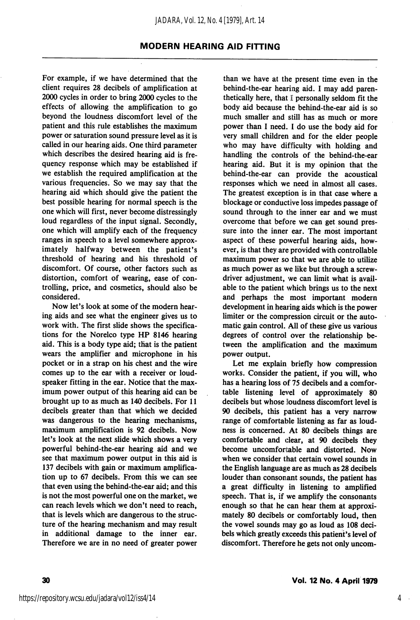For example, if we have determined that the client requires 28 decibels of amplification at 2000 cycles in order to bring 2000 cycles to the effects of allowing the amplification to go beyond the loudness discomfort level of the patient and this rule establishes the maximum power or saturation sound pressure level as it is called in our hearing aids. One third parameter which describes the desired hearing aid is fre quency response which may be established if we establish the required amplification at the various frequencies. So we may say that the hearing aid which should give the patient the best possible hearing for normal speech is the one which will first, never become distressingly loud regardless of the input signal. Secondly, one which will amplify each of the frequency ranges in speech to a level somewhere approx imately halfway between the patient's threshold of hearing and his threshold of discomfort. Of course, other factors such as distortion, comfort of wearing, ease of con trolling, price, and cosmetics, should also be considered.

Now let's look at some of the modern hear ing aids and see what the engineer gives us to work with. The first slide shows the specifica tions for the Norelco type HP 8146 hearing aid. This is a body type aid; that is the patient wears the amplifier and microphone in his pocket or in a strap on his chest and the wire comes up to the ear with a receiver or loud speaker fitting in the ear. Notice that the max imum power output of this hearing aid can be brought up to as much as 140 decibels. For 11 decibels greater than that which we decided was dangerous to the hearing mechanisms, maximum amplification is 92 decibels. Now let's look at the next slide which shows a very powerful behind-the-ear hearing aid and we see that maximum power output in this aid is 137 decibels with gain or maximum amplification up to 67 decibels. From this we can see that even using the behind-the-ear aid; and this is not the most powerful one on the market, we can reach levels which we don't need to reach, that is levels which are dangerous to the struc ture of the hearing mechanism and may result in additional damage to the inner ear. Therefore we are in no need of greater power

than we have at the present time even in the behind-the-ear hearing aid. I may add paren thetically here, that I personally seldom fit the body aid because the behind-the-ear aid is so much smaller and still has as much or more power than I need. I do use the body aid for very small children and for the elder people who may have difficulty with holding and handling the controls of the behind-the-ear hearing aid. But it is my opinion that the behind-the-ear can provide the acoustical responses which we need in almost all cases. The greatest exception is in that case where a blockage or conductive loss impedes passage of sound through to the inner ear and we must overcome that before we can get sound pres sure into the inner ear. The most important aspect of these powerful hearing aids, however, is that they are provided with controllable maximum power so that we are able to utilize as much power as we like but through a screw driver adjustment, we can limit what is avail able to the patient which brings us to the next and perhaps the most important modern development in hearing aids which is the power limiter or the compression circuit or the auto matic gain control. All of these give us various degrees of control over the relationship be tween the amplification and the maximum power output.

Let me explain briefly how compression works. Consider the patient, if you will, who has a hearing loss of 75 decibels and a comfor table listening level of approximately 80 decibels but whose loudness discomfort level is 90 decibels, this patient has a very narrow range of comfortable listening as far as loudness is concerned. At 80 decibels things are comfortable and clear, at 90 decibels they become uncomfortable and distorted. Now when we consider that certain vowel sounds in the English language are as much as 28 decibels louder than consonant sounds, the patient has a great difficulty in listening to amplified speech. That is, if we amplify the consonants enough so that he can hear them at approxi mately 80 decibels or comfortably loud, then the vowel sounds may go as loud as 108 deci bels which greatly exceeds this patient's level of discomfort. Therefore he gets not only uncom-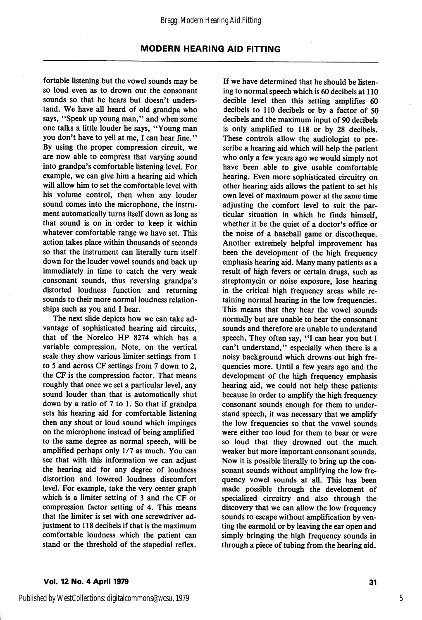fortable listening but the vowel sounds may be so loud even as to drown out the consonant sounds so that he hears but doesn't unders tand. We have all heard of old grandpa who says, "Speak up young man," and when some one talks a little louder he says, "Young man you don't have to yell at me, I can hear fine." By using the proper compression circuit, we are now able to compress that varying sound into grandpa's comfortable listening level. For example, we can give him a hearing aid which will allow him to set the comfortable level with his volume control, then when any louder sound comes into the microphone, the instru ment automatically turns itself down as long as that sound is on in order to keep it within whatever comfortable range we have set. This action takes place within thousands of seconds so that the instrument can literally turn itself down for the louder vowel sounds and back up immediately in time to catch the very weak consonant sounds, thus reversing grandpa's distorted loudness function and returning sounds to their more normal loudness relation ships such as you and I hear.

The next slide depicts how we can take ad vantage of sophisticated hearing aid circuits, that of the Norelco HP 8274 which has a variable compression. Note, on the vertical scale they show various limiter settings from 1 to 5 and across CF settings from 7 down to 2, the CF is the compression factor. That means roughly that once we set a particular level, any sound louder than that is automatically shut down by a ratio of 7 to 1. So that if grandpa sets his hearing aid for comfortable listening then any shout or loud sound which impinges on the microphone instead of being amplified to the same degree as normal speech, will be amplified perhaps only 1/7 as much. You can see that with this information we can adjust the hearing aid for any degree of loudness distortion and lowered loudness discomfort level. For example, take the very center graph which is a limiter setting of 3 and the CF or compression factor setting of 4. This means that the limiter is set with one screwdriver ad justment to 118 decibels if that is the maximum comfortable loudness which the patient can stand or the threshold of the stapedial reflex.

If we have determined that he should be listen ing to normal speech which is 60 decibels at 110 decible level then this setting amplifies 60 decibels to 110 decibels or by a factor of 50 decibels and the maximum input of 90 decibels is only amplified to 118 or by 28 decibels. These controls allow the audiologist to pre scribe a hearing aid which will help the patient who only a few years ago we would simply not have been able to give usable comfortable hearing. Even more sophisticated circuitry on other hearing aids allows the patient to set his own level of maximum power at the same time adjusting the comfort level to suit the par ticular situation in which he finds himself, whether it be the quiet of a doctor's office or the noise of a baseball game or discotheque. Another extremely helpful improvement has been the development of the high frequency emphasis hearing aid. Many many patients as a result of high fevers or certain drugs, such as streptomycin or noise exposure, lose hearing in the critical high frequency areas while re taining normal hearing in the low frequencies. This means that they hear the vowel sounds normally but are unable to hear the consonant sounds and therefore are unable to understand speech. They often say, "I can hear you but I can't understand," especially when there is a noisy background which drowns out high fre quencies more. Until a few years ago and the development of the high frequency emphasis hearing aid, we could not help these patients because in order to amplify the high frequency consonant sounds enough for them to under stand speech, it was necessary that we amplify the low frequencies so that the vowel sounds were either too loud for them to bear or were so loud that they drowned out the much weaker but more important consonant sounds. Now it is possible literally to bring up the con sonant sounds without amplifying the low fre quency vowel sounds at all. This has been made possible through the develoment of specialized circuitry and also through the discovery that we can allow the low frequency sounds to escape without amplification by ven ting the earmold or by leaving the ear open and simply bringing the high frequency sounds in through a piece of tubing from the hearing aid.

5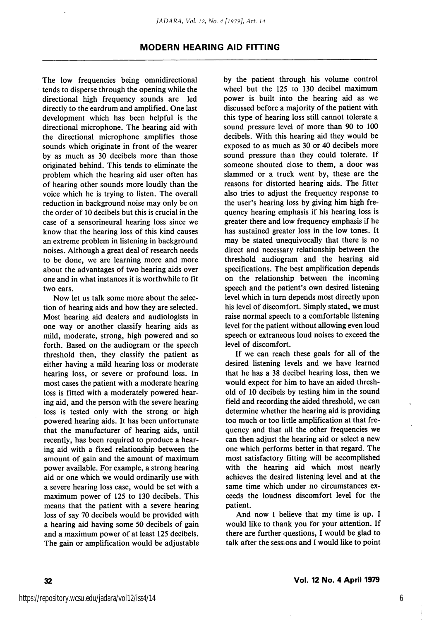The low frequencies being omnidirectional tends to disperse through the opening while the directional high frequency sounds are led directly to the eardrum and amplified. One last development which has been helpful is the directional microphone. The hearing aid with the directional microphone amplifies those sounds which originate in front of the wearer by as much as 30 decibels more than those originated behind. This tends to eliminate the problem which the hearing aid user often has of hearing other sounds more loudly than the voice which he is trying to listen. The overall reduction in background noise may only be on the order of 10 decibels but this is crucial in the case of a sensorineural hearing loss since we know that the hearing loss of this kind causes an extreme problem in listening in background noises. Although a great deal of research needs to be done, we are learning more and more about the advantages of two hearing aids over one and in what instances it is worthwhile to fit two ears.

Now let us talk some more about the selec tion of hearing aids and how they are selected. Most hearing aid dealers and audiologists in one way or another classify hearing aids as mild, moderate, strong, high powered and so forth. Based on the audiogram or the speech threshold then, they classify the patient as either having a mild hearing loss or moderate hearing loss, or severe or profound loss. In most cases the patient with a moderate hearing loss is fitted with a moderately powered hear ing aid, and the person with the severe hearing loss is tested only with the strong or high powered hearing aids. It has been unfortunate that the manufacturer of hearing aids, until recently, has been required to produce a hear ing aid with a fixed relationship between the amount of gain and the amount of maximum power available. For example, a strong hearing aid or one which we would ordinarily use with a severe hearing loss case, would be set with a maximum power of 125 to 130 decibels. This means that the patient with a severe hearing loss of say 70 decibels would be provided with a hearing aid having some 50 decibels of gain and a maximum power of at least 125 decibels. The gain or amplification would be adjustable by the patient through his volume control wheel but the  $125$  to  $130$  decibel maximum power is built into the hearing aid as we discussed before a majority of the patient with this type of hearing loss still cannot tolerate a sound pressure level of more than 90 to 100 decibels. With this hearing aid they would be exposed to as much as 30 or 40 decibels more sound pressure than they could tolerate. If someone shouted close to them, a door was slammed or a truck went by, these are the reasons for distorted hearing aids. The fitter also tries to adjust the frequency response to the user's hearing loss by giving him high fre quency hearing emphasis if his hearing loss is greater there and low frequency emphasis if he has sustained greater loss in the low tones. It may be stated unequivocally that there is no direct and necessary relationship between the threshold audiogram and the hearing aid specifications. The best amplification depends on the relationship between the incoming speech and the patient's own desired listening level which in turn depends most directly upon his level of discomfort. Simply stated, we must raise normal speech to a comfortable listening level for the patient without allowing even loud speech or extraneous loud noises to exceed the level of discomfort.

If we can reach these goals for all of the desired listening levels and we have learned that he has a 38 decibel hearing loss, then we would expect for him to have an aided thresh old of 10 decibels by testing him in the sound field and recording the aided threshold, we can determine whether the hearing aid is providing too much or too little amplification at that fre quency and that all the other frequencies we can then adjust the hearing aid or select a new one which performs better in that regard. The most satisfactory fitting will be accomplished with the hearing aid which most nearly achieves the desired listening level and at the same time which under no circumstances ex ceeds the loudness discomfort level for the patient.

And now I believe that my time is up. I would like to thank you for your attention. If there are further questions, I would be glad to talk after the sessions and I would like to point